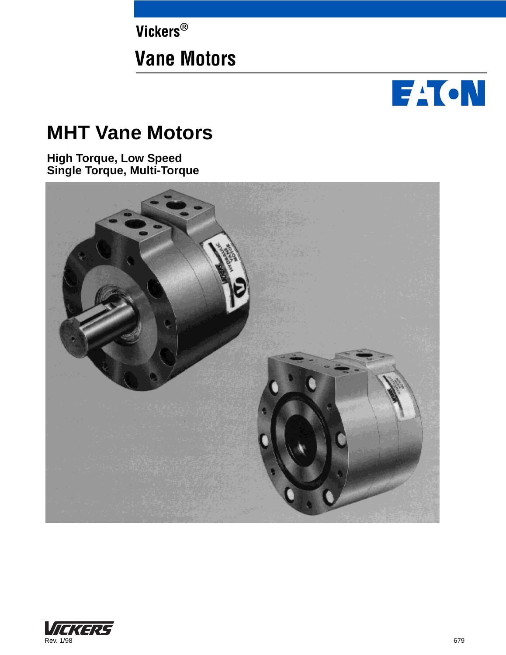**Vickers®**

# **Vane Motors**



# **MHT Vane Motors**

**High Torque, Low Speed Single Torque, Multi-Torque**



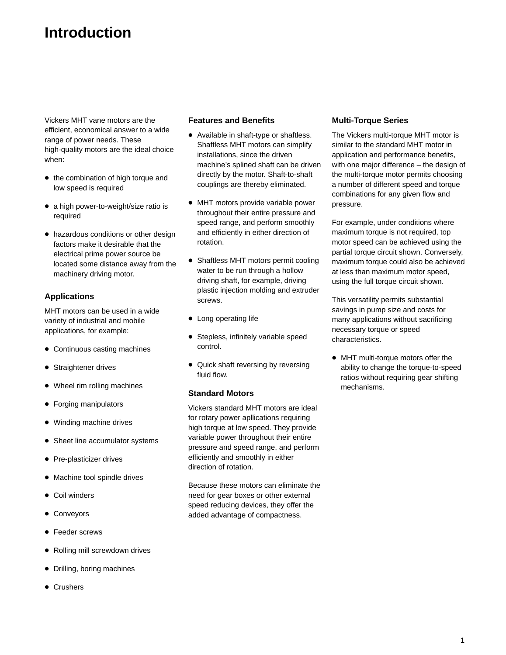## **Introduction**

Vickers MHT vane motors are the efficient, economical answer to a wide range of power needs. These high-quality motors are the ideal choice when:

- the combination of high torque and low speed is required
- a high power-to-weight/size ratio is required
- hazardous conditions or other design factors make it desirable that the electrical prime power source be located some distance away from the machinery driving motor.

#### **Applications**

MHT motors can be used in a wide variety of industrial and mobile applications, for example:

- Continuous casting machines
- **•** Straightener drives
- Wheel rim rolling machines
- Forging manipulators
- Winding machine drives
- Sheet line accumulator systems
- Pre-plasticizer drives
- Machine tool spindle drives
- **Coil winders**
- Conveyors
- **•** Feeder screws
- Rolling mill screwdown drives
- Drilling, boring machines
- **Crushers**

#### **Features and Benefits**

- Available in shaft-type or shaftless. Shaftless MHT motors can simplify installations, since the driven machine's splined shaft can be driven directly by the motor. Shaft-to-shaft couplings are thereby eliminated.
- MHT motors provide variable power throughout their entire pressure and speed range, and perform smoothly and efficiently in either direction of rotation.
- Shaftless MHT motors permit cooling water to be run through a hollow driving shaft, for example, driving plastic injection molding and extruder screws.
- Long operating life
- **Stepless, infinitely variable speed** control.
- Quick shaft reversing by reversing fluid flow.

#### **Standard Motors**

Vickers standard MHT motors are ideal for rotary power apllications requiring high torque at low speed. They provide variable power throughout their entire pressure and speed range, and perform efficiently and smoothly in either direction of rotation.

Because these motors can eliminate the need for gear boxes or other external speed reducing devices, they offer the added advantage of compactness.

#### **Multi-Torque Series**

The Vickers multi-torque MHT motor is similar to the standard MHT motor in application and performance benefits, with one major difference – the design of the multi-torque motor permits choosing a number of different speed and torque combinations for any given flow and pressure.

For example, under conditions where maximum torque is not required, top motor speed can be achieved using the partial torque circuit shown. Conversely, maximum torque could also be achieved at less than maximum motor speed, using the full torque circuit shown.

This versatility permits substantial savings in pump size and costs for many applications without sacrificing necessary torque or speed characteristics.

 MHT multi-torque motors offer the ability to change the torque-to-speed ratios without requiring gear shifting mechanisms.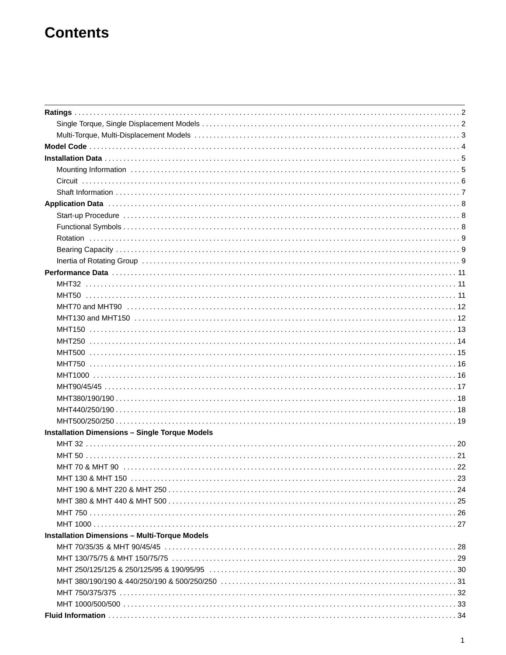## **Contents**

| <b>Installation Dimensions - Single Torque Models</b> |  |
|-------------------------------------------------------|--|
|                                                       |  |
|                                                       |  |
|                                                       |  |
|                                                       |  |
|                                                       |  |
|                                                       |  |
|                                                       |  |
|                                                       |  |
| <b>Installation Dimensions - Multi-Torque Models</b>  |  |
|                                                       |  |
|                                                       |  |
|                                                       |  |
|                                                       |  |
|                                                       |  |
|                                                       |  |
|                                                       |  |
|                                                       |  |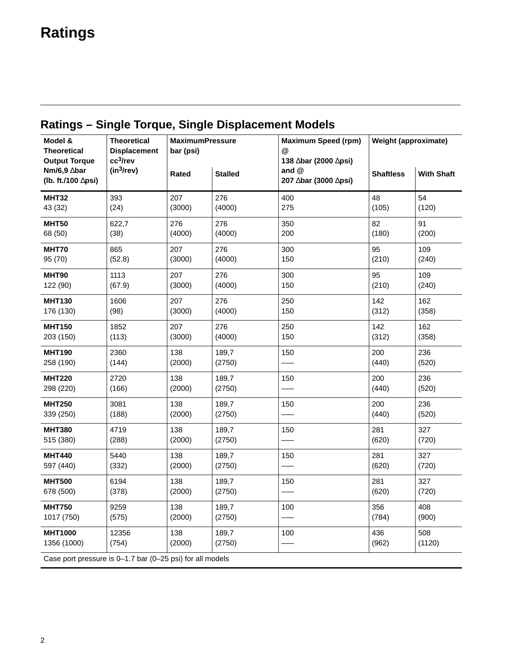# <span id="page-4-0"></span>**Ratings**

| Model &                                                   | <b>Theoretical</b>                             | <b>MaximumPressure</b> |                | <b>Maximum Speed (rpm)</b>                              | <b>Weight (approximate)</b> |                   |
|-----------------------------------------------------------|------------------------------------------------|------------------------|----------------|---------------------------------------------------------|-----------------------------|-------------------|
| <b>Theoretical</b>                                        | <b>Displacement</b>                            | bar (psi)              |                | @                                                       |                             |                   |
| <b>Output Torque</b><br>Nm/6,9 ∆bar<br>(lb. ft./100 ∆psi) | cc <sup>3</sup> /rev<br>(in <sup>3</sup> /rev) | Rated                  | <b>Stalled</b> | 138 ∆bar (2000 ∆psi)<br>and $@$<br>207 ∆bar (3000 ∆psi) | <b>Shaftless</b>            | <b>With Shaft</b> |
| <b>MHT32</b>                                              | 393                                            | 207                    | 276            | 400                                                     | 48                          | 54                |
| 43 (32)                                                   | (24)                                           | (3000)                 | (4000)         | 275                                                     | (105)                       | (120)             |
| MHT50                                                     | 622,7                                          | 276                    | 276            | 350                                                     | 82                          | 91                |
| 68 (50)                                                   | (38)                                           | (4000)                 | (4000)         | 200                                                     | (180)                       | (200)             |
| MHT70                                                     | 865                                            | 207                    | 276            | 300                                                     | 95                          | 109               |
| 95 (70)                                                   | (52.8)                                         | (3000)                 | (4000)         | 150                                                     | (210)                       | (240)             |
| <b>MHT90</b>                                              | 1113                                           | 207                    | 276            | 300                                                     | 95                          | 109               |
| 122 (90)                                                  | (67.9)                                         | (3000)                 | (4000)         | 150                                                     | (210)                       | (240)             |
| <b>MHT130</b>                                             | 1606                                           | 207                    | 276            | 250                                                     | 142                         | 162               |
| 176 (130)                                                 | (98)                                           | (3000)                 | (4000)         | 150                                                     | (312)                       | (358)             |
| <b>MHT150</b>                                             | 1852                                           | 207                    | 276            | 250                                                     | 142                         | 162               |
| 203 (150)                                                 | (113)                                          | (3000)                 | (4000)         | 150                                                     | (312)                       | (358)             |
| <b>MHT190</b>                                             | 2360                                           | 138                    | 189,7          | 150                                                     | 200                         | 236               |
| 258 (190)                                                 | (144)                                          | (2000)                 | (2750)         |                                                         | (440)                       | (520)             |
| <b>MHT220</b>                                             | 2720                                           | 138                    | 189,7          | 150                                                     | 200                         | 236               |
| 298 (220)                                                 | (166)                                          | (2000)                 | (2750)         |                                                         | (440)                       | (520)             |
| <b>MHT250</b>                                             | 3081                                           | 138                    | 189,7          | 150                                                     | 200                         | 236               |
| 339 (250)                                                 | (188)                                          | (2000)                 | (2750)         |                                                         | (440)                       | (520)             |
| <b>MHT380</b>                                             | 4719                                           | 138                    | 189,7          | 150                                                     | 281                         | 327               |
| 515 (380)                                                 | (288)                                          | (2000)                 | (2750)         |                                                         | (620)                       | (720)             |
| <b>MHT440</b>                                             | 5440                                           | 138                    | 189,7          | 150                                                     | 281                         | 327               |
| 597 (440)                                                 | (332)                                          | (2000)                 | (2750)         |                                                         | (620)                       | (720)             |
| <b>MHT500</b>                                             | 6194                                           | 138                    | 189,7          | 150                                                     | 281                         | 327               |
| 678 (500)                                                 | (378)                                          | (2000)                 | (2750)         |                                                         | (620)                       | (720)             |
| <b>MHT750</b>                                             | 9259                                           | 138                    | 189,7          | 100                                                     | 356                         | 408               |
| 1017 (750)                                                | (575)                                          | (2000)                 | (2750)         |                                                         | (784)                       | (900)             |
| <b>MHT1000</b>                                            | 12356                                          | 138                    | 189,7          | 100                                                     | 436                         | 508               |
| 1356 (1000)                                               | (754)                                          | (2000)                 | (2750)         |                                                         | (962)                       | (1120)            |
| Case port pressure is 0-1.7 bar (0-25 psi) for all models |                                                |                        |                |                                                         |                             |                   |

### **Ratings – Single Torque, Single Displacement Models**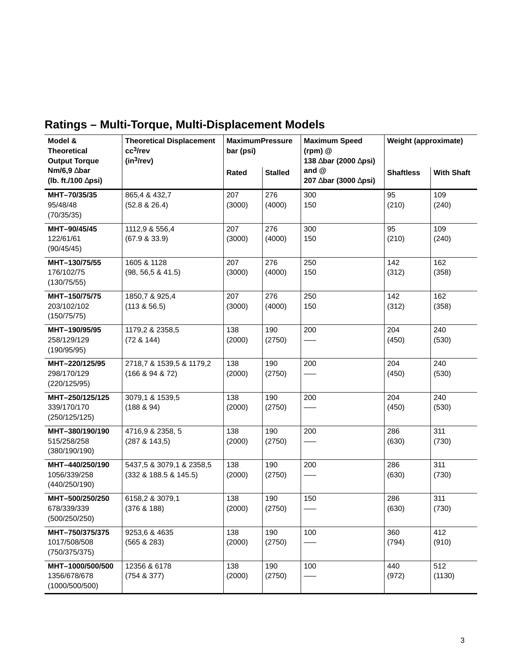| Model &<br><b>Theoretical</b><br><b>Output Torque</b> | <b>Theoretical Displacement</b><br>cc <sup>3</sup> /rev<br>$(in^3$ /rev) | <b>MaximumPressure</b><br>bar (psi) |                | <b>Maximum Speed</b><br>$(rpm)$ $@$<br>138 ∆bar (2000 ∆psi) | <b>Weight (approximate)</b> |                   |
|-------------------------------------------------------|--------------------------------------------------------------------------|-------------------------------------|----------------|-------------------------------------------------------------|-----------------------------|-------------------|
| Nm/6,9 ∆bar<br>(lb. ft./100 $\triangle$ psi)          |                                                                          | Rated                               | <b>Stalled</b> | and $@$<br>207 ∆bar (3000 ∆psi)                             | <b>Shaftless</b>            | <b>With Shaft</b> |
| MHT-70/35/35<br>95/48/48<br>(70/35/35)                | 865,4 & 432,7<br>(52.8 & 26.4)                                           | 207<br>(3000)                       | 276<br>(4000)  | 300<br>150                                                  | 95<br>(210)                 | 109<br>(240)      |
| MHT-90/45/45<br>122/61/61<br>(90/45/45)               | 1112,9 & 556,4<br>(67.9 & 33.9)                                          | 207<br>(3000)                       | 276<br>(4000)  | 300<br>150                                                  | 95<br>(210)                 | 109<br>(240)      |
| MHT-130/75/55<br>176/102/75<br>(130/75/55)            | 1605 & 1128<br>(98, 56, 5 & 41.5)                                        | 207<br>(3000)                       | 276<br>(4000)  | 250<br>150                                                  | 142<br>(312)                | 162<br>(358)      |
| MHT-150/75/75<br>203/102/102<br>(150/75/75)           | 1850,7 & 925,4<br>(113 & 56.5)                                           | 207<br>(3000)                       | 276<br>(4000)  | 250<br>150                                                  | 142<br>(312)                | 162<br>(358)      |
| MHT-190/95/95<br>258/129/129<br>(190/95/95)           | 1179,2 & 2358,5<br>(72 & 144)                                            | 138<br>(2000)                       | 190<br>(2750)  | 200                                                         | 204<br>(450)                | 240<br>(530)      |
| MHT-220/125/95<br>298/170/129<br>(220/125/95)         | 2718,7 & 1539,5 & 1179,2<br>(166 & 94 & 72)                              | 138<br>(2000)                       | 190<br>(2750)  | 200                                                         | 204<br>(450)                | 240<br>(530)      |
| MHT-250/125/125<br>339/170/170<br>(250/125/125)       | 3079,1 & 1539,5<br>(188 & 94)                                            | 138<br>(2000)                       | 190<br>(2750)  | 200                                                         | 204<br>(450)                | 240<br>(530)      |
| MHT-380/190/190<br>515/258/258<br>(380/190/190)       | 4716,9 & 2358, 5<br>(287 & 143,5)                                        | 138<br>(2000)                       | 190<br>(2750)  | 200                                                         | 286<br>(630)                | 311<br>(730)      |
| MHT-440/250/190<br>1056/339/258<br>(440/250/190)      | 5437,5 & 3079,1 & 2358,5<br>(332 & 188.5 & 145.5)                        | 138<br>(2000)                       | 190<br>(2750)  | 200                                                         | 286<br>(630)                | 311<br>(730)      |
| MHT-500/250/250<br>678/339/339<br>(500/250/250)       | 6158,2 & 3079,1<br>(376 & 188)                                           | 138<br>(2000)                       | 190<br>(2750)  | 150                                                         | 286<br>(630)                | 311<br>(730)      |
| MHT-750/375/375<br>1017/508/508<br>(750/375/375)      | 9253,6 & 4635<br>(565 & 283)                                             | 138<br>(2000)                       | 190<br>(2750)  | 100                                                         | 360<br>(794)                | 412<br>(910)      |
| MHT-1000/500/500<br>1356/678/678<br>(1000/500/500)    | 12356 & 6178<br>(754 & 377)                                              | 138<br>(2000)                       | 190<br>(2750)  | 100                                                         | 440<br>(972)                | 512<br>(1130)     |

## <span id="page-5-0"></span>**Ratings – Multi-Torque, Multi-Displacement Models**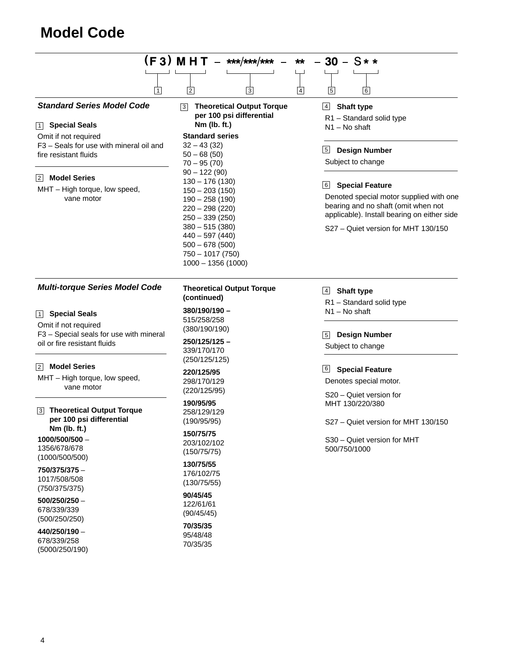## <span id="page-6-0"></span>**Model Code**

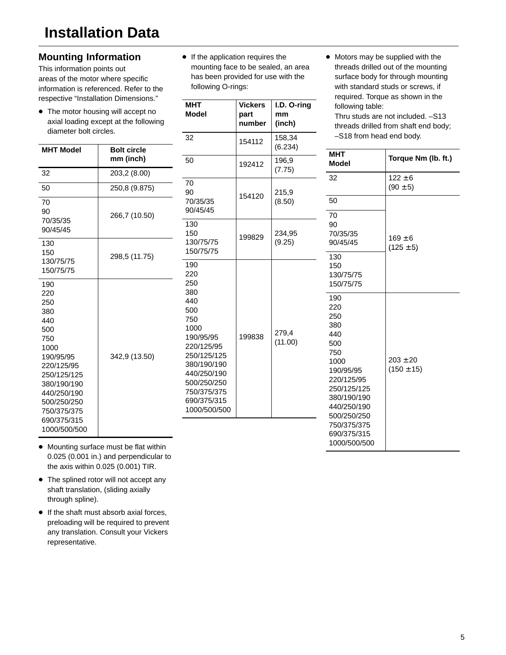### <span id="page-7-0"></span>**Mounting Information**

This information points out areas of the motor where specific information is referenced. Refer to the respective "Installation Dimensions."

• The motor housing will accept no axial loading except at the followin diameter bolt circles.

**mm (inch)**

266,7 (10.50)

298,5 (11.75)

342,9 (13.50)

**MHT Model Bolt circle**

32 203,2 (8.00) 50 250,8 (9.875)

70 90 70/35/35 90/45/45

130 150 130/75/75 150/75/75

190 220 250 380 440 500 750 1000 190/95/95 220/125/95 250/125/125 380/190/190 440/250/190 500/250/250 750/375/375 690/375/315 1000/500/500 **If the application requires the** mounting face to be sealed, an area has been provided for use with the following O-rings:

| <b>MHT</b><br><b>Model</b><br>32                                                                                                                                      | <b>Vickers</b><br>part<br>number<br>154112 | I.D. O-ring<br>mm<br>(inch)<br>158,34 | required. Torque as shown in the<br>following table:<br>Thru studs are not included. -S13<br>threads drilled from shaft end body;<br>-S18 from head end body.              |                                |
|-----------------------------------------------------------------------------------------------------------------------------------------------------------------------|--------------------------------------------|---------------------------------------|----------------------------------------------------------------------------------------------------------------------------------------------------------------------------|--------------------------------|
| 50                                                                                                                                                                    | 192412                                     | (6.234)<br>196,9<br>(7.75)            | <b>MHT</b><br><b>Model</b>                                                                                                                                                 | Torque Nm (lb. ft.)            |
| 70<br>90                                                                                                                                                              |                                            | 215,9                                 | 32                                                                                                                                                                         | $122 \pm 6$<br>$(90 \pm 5)$    |
| 70/35/35<br>90/45/45                                                                                                                                                  | 154120                                     | (8.50)                                | 50<br>70                                                                                                                                                                   |                                |
| 130<br>150<br>130/75/75<br>150/75/75                                                                                                                                  | 199829                                     | 234,95<br>(9.25)                      | 90<br>70/35/35<br>90/45/45                                                                                                                                                 | $169 \pm 6$<br>$(125 \pm 5)$   |
| 190<br>220<br>250                                                                                                                                                     |                                            |                                       | 130<br>150<br>130/75/75<br>150/75/75                                                                                                                                       |                                |
| 380<br>440<br>500<br>750<br>1000<br>190/95/95<br>220/125/95<br>250/125/125<br>380/190/190<br>440/250/190<br>500/250/250<br>750/375/375<br>690/375/315<br>1000/500/500 | 199838                                     | 279,4<br>(11.00)                      | 190<br>220<br>250<br>380<br>440<br>500<br>750<br>1000<br>190/95/95<br>220/125/95<br>250/125/125<br>380/190/190<br>440/250/190<br>500/250/250<br>750/375/375<br>690/375/315 | $203 \pm 20$<br>$(150 \pm 15)$ |

• Motors may be supplied with the threads drilled out of the mounting surface body for through mounting with standard studs or screws, if

- Mounting surface must be flat within 0.025 (0.001 in.) and perpendicular to the axis within 0.025 (0.001) TIR.
- The splined rotor will not accept any shaft translation, (sliding axially through spline).
- If the shaft must absorb axial forces, preloading will be required to prevent any translation. Consult your Vickers representative.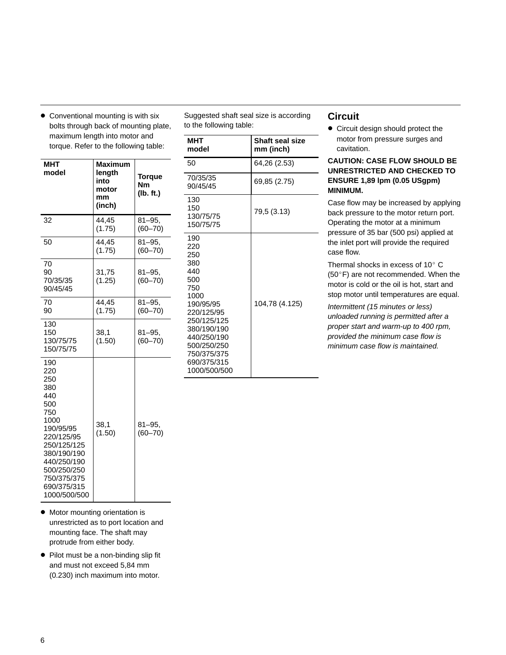| MHT<br>model                                                                                                                                                                               | <b>Maximum</b><br>length<br>into<br>motor<br>mm<br>(inch) | Torque<br><b>Nm</b><br>(lb. ft.) |
|--------------------------------------------------------------------------------------------------------------------------------------------------------------------------------------------|-----------------------------------------------------------|----------------------------------|
| 32                                                                                                                                                                                         | 44,45<br>(1.75)                                           | $81 - 95$<br>$(60 - 70)$         |
| 50                                                                                                                                                                                         | 44,45<br>(1.75)                                           | $81 - 95.$<br>$(60 - 70)$        |
| 70<br>90<br>70/35/35<br>90/45/45                                                                                                                                                           | 31,75<br>(1.25)                                           | $81 - 95$<br>$(60 - 70)$         |
| 70<br>90                                                                                                                                                                                   | 44,45<br>(1.75)                                           | $81 - 95$ .<br>$(60 - 70)$       |
| 130<br>150<br>130/75/75<br>150/75/75                                                                                                                                                       | 38,1<br>(1.50)                                            | $81 - 95$<br>$(60 - 70)$         |
| 190<br>220<br>250<br>380<br>440<br>500<br>750<br>1000<br>190/95/95<br>220/125/95<br>250/125/125<br>380/190/190<br>440/250/190<br>500/250/250<br>750/375/375<br>690/375/315<br>1000/500/500 | 38,1<br>(1.50)                                            | $81 - 95.$<br>$(60 - 70)$        |

<span id="page-8-0"></span>• Conventional mounting is with six bolts through back of mounting plate, maximum length into motor and torque. Refer to the following table:

Suggested shaft seal size is according to the following table:

| МНТ<br>model                                                                                                                                                                               | <b>Shaft seal size</b><br>mm (inch) |
|--------------------------------------------------------------------------------------------------------------------------------------------------------------------------------------------|-------------------------------------|
| 50                                                                                                                                                                                         | 64,26 (2.53)                        |
| 70/35/35<br>90/45/45                                                                                                                                                                       | 69,85 (2.75)                        |
| 130<br>150<br>130/75/75<br>150/75/75                                                                                                                                                       | 79,5 (3.13)                         |
| 190<br>220<br>250<br>380<br>440<br>500<br>750<br>1000<br>190/95/95<br>220/125/95<br>250/125/125<br>380/190/190<br>440/250/190<br>500/250/250<br>750/375/375<br>690/375/315<br>1000/500/500 | 104,78 (4.125)                      |

### **Circuit**

• Circuit design should protect the motor from pressure surges and cavitation.

**CAUTION: CASE FLOW SHOULD BE UNRESTRICTED AND CHECKED TO ENSURE 1,89 lpm (0.05 USgpm) MINIMUM.**

Case flow may be increased by applying back pressure to the motor return port. Operating the motor at a minimum pressure of 35 bar (500 psi) applied at the inlet port will provide the required case flow.

Thermal shocks in excess of  $10^{\circ}$  C (50°F) are not recommended. When the motor is cold or the oil is hot, start and stop motor until temperatures are equal.

Intermittent (15 minutes or less) unloaded running is permitted after a proper start and warm-up to 400 rpm, provided the minimum case flow is minimum case flow is maintained.

- Motor mounting orientation is unrestricted as to port location and mounting face. The shaft may protrude from either body.
- Pilot must be a non-binding slip fit and must not exceed 5,84 mm (0.230) inch maximum into motor.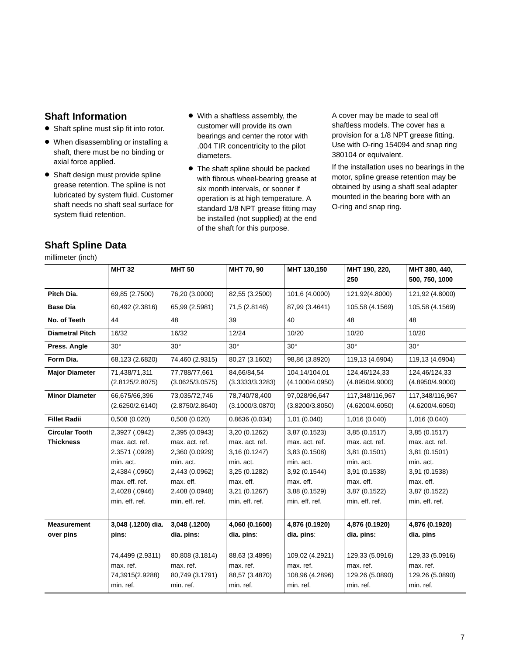### <span id="page-9-0"></span>**Shaft Information**

- Shaft spline must slip fit into rotor.
- When disassembling or installing a shaft, there must be no binding or axial force applied.
- Shaft design must provide spline grease retention. The spline is not lubricated by system fluid. Customer shaft needs no shaft seal surface for system fluid retention.
- With a shaftless assembly, the customer will provide its own bearings and center the rotor with .004 TIR concentricity to the pilot diameters.
- The shaft spline should be packed with fibrous wheel-bearing grease at six month intervals, or sooner if operation is at high temperature. A standard 1/8 NPT grease fitting may be installed (not supplied) at the end of the shaft for this purpose.

A cover may be made to seal off shaftless models. The cover has a provision for a 1/8 NPT grease fitting. Use with O-ring 154094 and snap ring 380104 or equivalent.

If the installation uses no bearings in the motor, spline grease retention may be obtained by using a shaft seal adapter mounted in the bearing bore with an O-ring and snap ring.

|  |  | <b>Shaft Spline Data</b> |
|--|--|--------------------------|
|  |  |                          |

millimeter (inch)

|                                           | <b>MHT 32</b>                                                                                       | <b>MHT 50</b>                                                                                  | MHT 70, 90                                                                                  | MHT 130,150                                                                                  | MHT 190, 220,<br>250                                                                         | MHT 380, 440,<br>500, 750, 1000                                                             |
|-------------------------------------------|-----------------------------------------------------------------------------------------------------|------------------------------------------------------------------------------------------------|---------------------------------------------------------------------------------------------|----------------------------------------------------------------------------------------------|----------------------------------------------------------------------------------------------|---------------------------------------------------------------------------------------------|
| Pitch Dia.                                | 69,85 (2.7500)                                                                                      | 76,20 (3.0000)                                                                                 | 82,55 (3.2500)                                                                              | 101,6 (4.0000)                                                                               | 121,92(4.8000)                                                                               | 121,92 (4.8000)                                                                             |
| <b>Base Dia</b>                           | 60,492 (2.3816)                                                                                     | 65,99 (2.5981)                                                                                 | 71,5 (2.8146)                                                                               | 87,99 (3.4641)                                                                               | 105,58 (4.1569)                                                                              | 105,58 (4.1569)                                                                             |
| No. of Teeth                              | 44                                                                                                  | 48                                                                                             | 39                                                                                          | 40                                                                                           | 48                                                                                           | 48                                                                                          |
| <b>Diametral Pitch</b>                    | 16/32                                                                                               | 16/32                                                                                          | 12/24                                                                                       | 10/20                                                                                        | 10/20                                                                                        | 10/20                                                                                       |
| Press. Angle                              | $30^\circ$                                                                                          | $30^\circ$                                                                                     | $30^{\circ}$                                                                                | $30^\circ$                                                                                   | $30^\circ$                                                                                   | $30^\circ$                                                                                  |
| Form Dia.                                 | 68,123 (2.6820)                                                                                     | 74,460 (2.9315)                                                                                | 80,27 (3.1602)                                                                              | 98,86 (3.8920)                                                                               | 119,13 (4.6904)                                                                              | 119,13 (4.6904)                                                                             |
| <b>Major Diameter</b>                     | 71,438/71,311<br>(2.8125/2.8075)                                                                    | 77,788/77,661<br>(3.0625/3.0575)                                                               | 84,66/84,54<br>(3.3333/3.3283)                                                              | 104,14/104,01<br>(4.1000/4.0950)                                                             | 124,46/124,33<br>(4.8950/4.9000)                                                             | 124,46/124,33<br>(4.8950/4.9000)                                                            |
| <b>Minor Diameter</b>                     | 66,675/66,396<br>(2.6250/2.6140)                                                                    | 73,035/72,746<br>(2.8750/2.8640)                                                               | 78,740/78,400<br>(3.1000/3.0870)                                                            | 97,028/96,647<br>(3.8200/3.8050)                                                             | 117,348/116,967<br>(4.6200/4.6050)                                                           | 117,348/116,967<br>(4.6200/4.6050)                                                          |
| <b>Fillet Radii</b>                       | 0,508(0.020)                                                                                        | 0,508(0.020)                                                                                   | 0.8636(0.034)                                                                               | 1,01(0.040)                                                                                  | 1,016 (0.040)                                                                                | 1,016 (0.040)                                                                               |
| <b>Circular Tooth</b><br><b>Thickness</b> | 2,3927 (.0942)<br>max. act. ref.                                                                    | 2,395 (0.0943)<br>max. act. ref.                                                               | 3,20 (0.1262)<br>max. act. ref.                                                             | 3,87 (0.1523)<br>max. act. ref.                                                              | 3,85 (0.1517)<br>max. act. ref.                                                              | 3,85 (0.1517)<br>max. act. ref.                                                             |
|                                           | 2.3571 (.0928)<br>min. act.<br>2,4384 (.0960)<br>max. eff. ref.<br>2,4028 (.0946)<br>min. eff. ref. | 2,360 (0.0929)<br>min. act.<br>2,443 (0.0962)<br>max. eff.<br>2.408 (0.0948)<br>min. eff. ref. | 3,16 (0.1247)<br>min. act.<br>3,25 (0.1282)<br>max. eff.<br>3,21 (0.1267)<br>min. eff. ref. | 3,83 (0.1508)<br>min. act.<br>3,92 (0.1544)<br>max. eff.<br>3,88 (0.1529)<br>min. eff. ref.  | 3,81 (0.1501)<br>min. act.<br>3,91 (0.1538)<br>max. eff.<br>3,87 (0.1522)<br>min. eff. ref.  | 3,81 (0.1501)<br>min. act.<br>3,91 (0.1538)<br>max. eff.<br>3,87 (0.1522)<br>min. eff. ref. |
| <b>Measurement</b><br>over pins           | 3,048 (.1200) dia.<br>pins:<br>74,4499 (2.9311)<br>max. ref.<br>74,3915(2.9288)<br>min. ref.        | 3,048 (.1200)<br>dia. pins:<br>80,808 (3.1814)<br>max. ref.<br>80,749 (3.1791)<br>min. ref.    | 4,060 (0.1600)<br>dia. pins:<br>88,63 (3.4895)<br>max. ref.<br>88,57 (3.4870)<br>min. ref.  | 4,876 (0.1920)<br>dia. pins:<br>109,02 (4.2921)<br>max. ref.<br>108,96 (4.2896)<br>min. ref. | 4,876 (0.1920)<br>dia. pins:<br>129,33 (5.0916)<br>max. ref.<br>129,26 (5.0890)<br>min. ref. | 4,876 (0.1920)<br>dia. pins<br>129,33 (5.0916)<br>max. ref.<br>129,26 (5.0890)<br>min. ref. |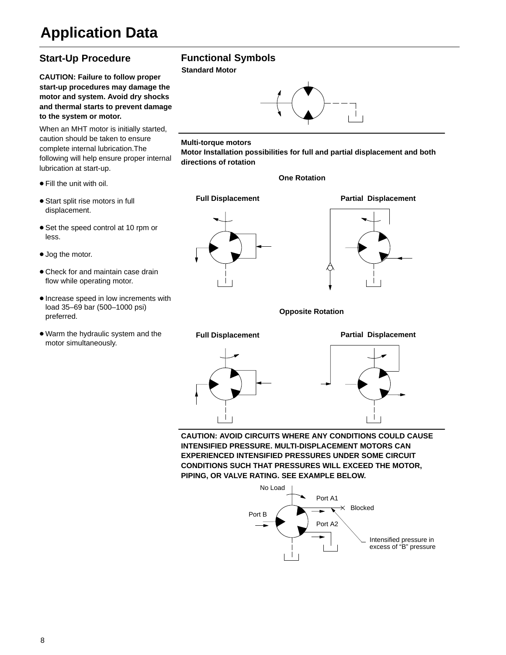## <span id="page-10-0"></span>**Application Data**

### **Start-Up Procedure**

**CAUTION: Failure to follow proper start-up procedures may damage the motor and system. Avoid dry shocks and thermal starts to prevent damage to the system or motor.**

When an MHT motor is initially started, caution should be taken to ensure complete internal lubrication.The following will help ensure proper internal lubrication at start-up.

- Fill the unit with oil.
- **Start split rise motors in full** displacement.
- Set the speed control at 10 rpm or less.
- Jog the motor.
- Check for and maintain case drain flow while operating motor.
- **Increase speed in low increments with** load 35–69 bar (500–1000 psi) preferred.
- Warm the hydraulic system and the motor simultaneously.

### **Functional Symbols**

**Standard Motor**



#### **Multi-torque motors**

**Motor Installation possibilities for full and partial displacement and both directions of rotation**

#### **One Rotation**





**Opposite Rotation**



**CAUTION: AVOID CIRCUITS WHERE ANY CONDITIONS COULD CAUSE INTENSIFIED PRESSURE. MULTI-DISPLACEMENT MOTORS CAN EXPERIENCED INTENSIFIED PRESSURES UNDER SOME CIRCUIT CONDITIONS SUCH THAT PRESSURES WILL EXCEED THE MOTOR, PIPING, OR VALVE RATING. SEE EXAMPLE BELOW.**

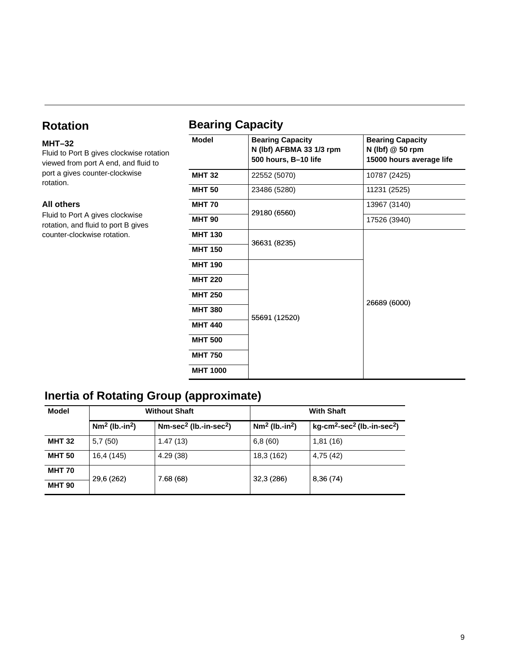### <span id="page-11-0"></span>**Rotation**

### **MHT–32**

Fluid to Port B gives clockwise rotation viewed from port A end, and fluid to port a gives counter-clockwise rotation.

#### **All others**

Fluid to Port A gives clockwise rotation, and fluid to port B gives counter-clockwise rotation.

### **Bearing Capacity**

| <b>Model</b>    | <b>Bearing Capacity</b><br>N (lbf) AFBMA 33 1/3 rpm<br>500 hours, B-10 life | <b>Bearing Capacity</b><br>N (lbf) @ 50 rpm<br>15000 hours average life |  |
|-----------------|-----------------------------------------------------------------------------|-------------------------------------------------------------------------|--|
| <b>MHT 32</b>   | 22552 (5070)                                                                | 10787 (2425)                                                            |  |
| <b>MHT 50</b>   | 23486 (5280)                                                                | 11231 (2525)                                                            |  |
| <b>MHT 70</b>   | 29180 (6560)                                                                | 13967 (3140)                                                            |  |
| <b>MHT 90</b>   |                                                                             | 17526 (3940)                                                            |  |
| <b>MHT 130</b>  | 36631 (8235)                                                                | 26689 (6000)                                                            |  |
| <b>MHT 150</b>  |                                                                             |                                                                         |  |
| <b>MHT 190</b>  |                                                                             |                                                                         |  |
| <b>MHT 220</b>  |                                                                             |                                                                         |  |
| <b>MHT 250</b>  |                                                                             |                                                                         |  |
| <b>MHT 380</b>  | 55691 (12520)                                                               |                                                                         |  |
| <b>MHT 440</b>  |                                                                             |                                                                         |  |
| <b>MHT 500</b>  |                                                                             |                                                                         |  |
| <b>MHT 750</b>  |                                                                             |                                                                         |  |
| <b>MHT 1000</b> |                                                                             |                                                                         |  |
|                 |                                                                             |                                                                         |  |

### **Inertia of Rotating Group (approximate)**

| Model         |                              | <b>Without Shaft</b>                         |                              | <b>With Shaft</b>                                                       |  |  |
|---------------|------------------------------|----------------------------------------------|------------------------------|-------------------------------------------------------------------------|--|--|
|               | $Nm2$ (lb.-in <sup>2</sup> ) | $Nm\text{-}sec^2$ (lb.-in-sec <sup>2</sup> ) | $Nm2$ (lb.-in <sup>2</sup> ) | $\vert$ kg-cm <sup>2</sup> -sec <sup>2</sup> (lb.-in-sec <sup>2</sup> ) |  |  |
| <b>MHT 32</b> | 5,7(50)                      | 1.47(13)                                     | 6,8(60)                      | 1,81(16)                                                                |  |  |
| <b>MHT 50</b> | 16,4 (145)                   | 4.29(38)                                     | 18,3 (162)                   | 4,75(42)                                                                |  |  |
| <b>MHT 70</b> | 29,6 (262)                   |                                              | 32,3 (286)                   |                                                                         |  |  |
| <b>MHT 90</b> |                              | 7.68(68)                                     |                              | 8,36(74)                                                                |  |  |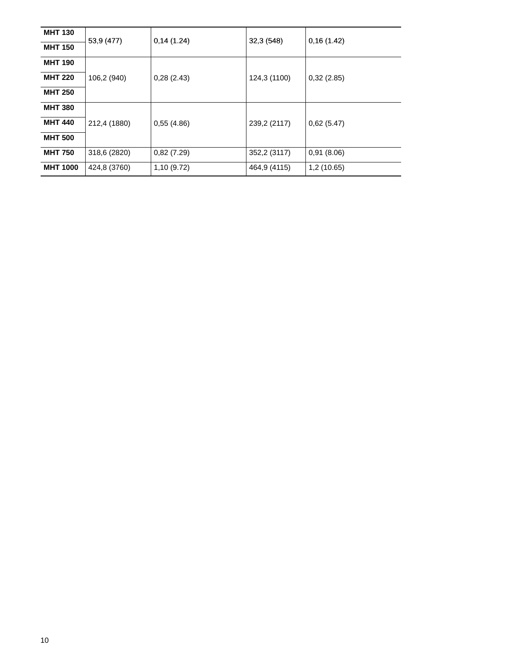| <b>MHT 130</b>  | 53,9 (477)   | 0,14(1.24)  | 32,3(548)    | 0,16(1.42)  |
|-----------------|--------------|-------------|--------------|-------------|
| <b>MHT 150</b>  |              |             |              |             |
| <b>MHT 190</b>  |              |             |              |             |
| <b>MHT 220</b>  | 106,2 (940)  | 0,28(2.43)  | 124,3 (1100) | 0,32(2.85)  |
| <b>MHT 250</b>  |              |             |              |             |
| <b>MHT 380</b>  |              |             |              |             |
| <b>MHT 440</b>  | 212,4 (1880) | 0,55(4.86)  | 239,2 (2117) | 0,62(5.47)  |
| <b>MHT 500</b>  |              |             |              |             |
| <b>MHT 750</b>  | 318,6 (2820) | 0,82(7.29)  | 352,2 (3117) | 0,91(8.06)  |
| <b>MHT 1000</b> | 424,8 (3760) | 1,10 (9.72) | 464,9 (4115) | 1,2 (10.65) |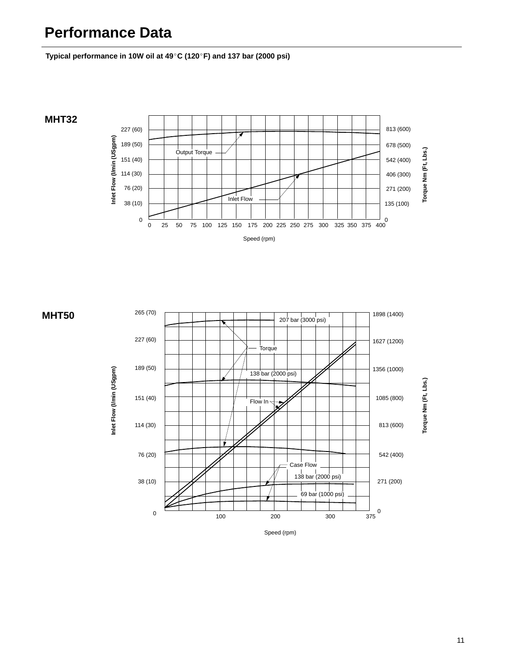## <span id="page-13-0"></span>**Performance Data**

**Typical performance in 10W oil at 49**-**C (120**-**F) and 137 bar (2000 psi)**





11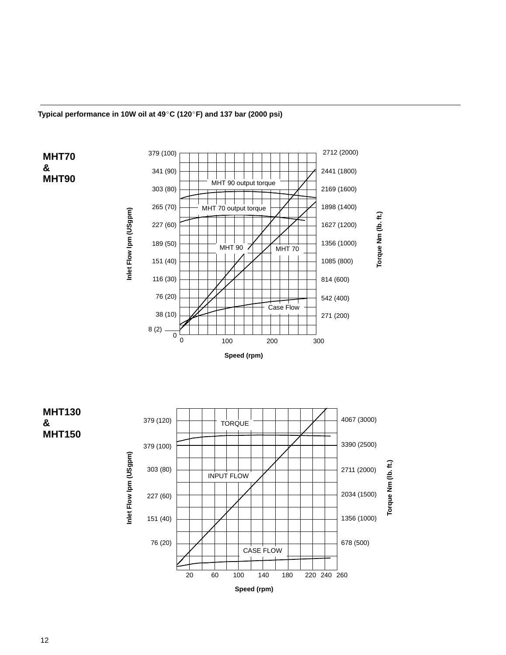

<span id="page-14-0"></span>**Typical performance in 10W oil at 49**-**C (120**-**F) and 137 bar (2000 psi)**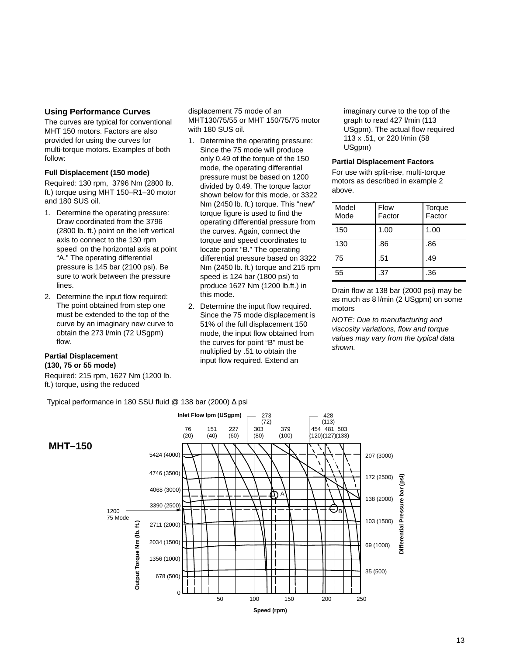#### <span id="page-15-0"></span>**Using Performance Curves**

The curves are typical for conventional MHT 150 motors. Factors are also provided for using the curves for multi-torque motors. Examples of both follow:

#### **Full Displacement (150 mode)**

Required: 130 rpm, 3796 Nm (2800 lb. ft.) torque using MHT 150–R1–30 motor and 180 SUS oil.

- 1. Determine the operating pressure: Draw coordinated from the 3796 (2800 lb. ft.) point on the left vertical axis to connect to the 130 rpm speed on the horizontal axis at point "A." The operating differential pressure is 145 bar (2100 psi). Be sure to work between the pressure lines.
- 2. Determine the input flow required: The point obtained from step one must be extended to the top of the curve by an imaginary new curve to obtain the 273 l/min (72 USgpm) flow.

#### **Partial Displacement (130, 75 or 55 mode)**

Required: 215 rpm, 1627 Nm (1200 lb. ft.) torque, using the reduced

displacement 75 mode of an MHT130/75/55 or MHT 150/75/75 motor with 180 SUS oil.

- 1. Determine the operating pressure: Since the 75 mode will produce only 0.49 of the torque of the 150 mode, the operating differential pressure must be based on 1200 divided by 0.49. The torque factor shown below for this mode, or 3322 Nm (2450 lb. ft.) torque. This "new" torque figure is used to find the operating differential pressure from the curves. Again, connect the torque and speed coordinates to locate point "B." The operating differential pressure based on 3322 Nm (2450 lb. ft.) torque and 215 rpm speed is 124 bar (1800 psi) to produce 1627 Nm (1200 lb.ft.) in this mode.
- 2. Determine the input flow required. Since the 75 mode displacement is 51% of the full displacement 150 mode, the input flow obtained from the curves for point "B" must be multiplied by .51 to obtain the input flow required. Extend an

imaginary curve to the top of the graph to read 427 l/min (113 USgpm). The actual flow required 113 x .51, or 220 l/min (58 USapm)

#### **Partial Displacement Factors**

For use with split-rise, multi-torque motors as described in example 2 above.

| Model<br>Mode | Flow<br>Factor | Torque<br>Factor |
|---------------|----------------|------------------|
| 150           | 1.00           | 1.00             |
| 130           | .86            | .86              |
| 75            | .51            | .49              |
| 55            | .37            | .36              |

Drain flow at 138 bar (2000 psi) may be as much as 8 l/min (2 USgpm) on some motors

NOTE: Due to manufacturing and viscosity variations, flow and torque values may vary from the typical data shown.



Typical performance in 180 SSU fluid @ 138 bar (2000) ∆ psi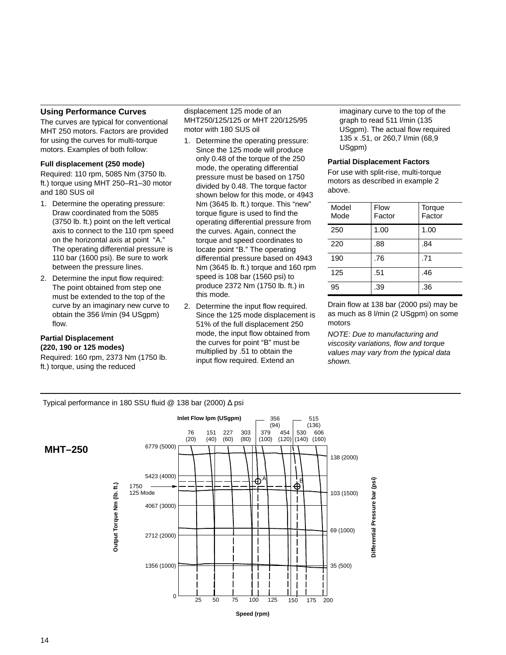#### <span id="page-16-0"></span>**Using Performance Curves**

The curves are typical for conventional MHT 250 motors. Factors are provided for using the curves for multi-torque motors. Examples of both follow:

#### **Full displacement (250 mode)**

Required: 110 rpm, 5085 Nm (3750 lb. ft.) torque using MHT 250–R1–30 motor and 180 SUS oil

- 1. Determine the operating pressure: Draw coordinated from the 5085 (3750 lb. ft.) point on the left vertical axis to connect to the 110 rpm speed on the horizontal axis at point "A." The operating differential pressure is 110 bar (1600 psi). Be sure to work between the pressure lines.
- 2. Determine the input flow required: The point obtained from step one must be extended to the top of the curve by an imaginary new curve to obtain the 356 l/min (94 USgpm) flow.

#### **Partial Displacement (220, 190 or 125 modes)**

**MHT–250**

Required: 160 rpm, 2373 Nm (1750 lb. ft.) torque, using the reduced

displacement 125 mode of an MHT250/125/125 or MHT 220/125/95 motor with 180 SUS oil

- 1. Determine the operating pressure: Since the 125 mode will produce only 0.48 of the torque of the 250 mode, the operating differential pressure must be based on 1750 divided by 0.48. The torque factor shown below for this mode, or 4943 Nm (3645 lb. ft.) torque. This "new" torque figure is used to find the operating differential pressure from the curves. Again, connect the torque and speed coordinates to locate point "B." The operating differential pressure based on 4943 Nm (3645 lb. ft.) torque and 160 rpm speed is 108 bar (1560 psi) to produce 2372 Nm (1750 lb. ft.) in this mode.
- 2. Determine the input flow required. Since the 125 mode displacement is 51% of the full displacement 250 mode, the input flow obtained from the curves for point "B" must be multiplied by .51 to obtain the input flow required. Extend an

imaginary curve to the top of the graph to read 511 l/min (135 USgpm). The actual flow required 135 x .51, or 260,7 l/min (68,9 US<sub>apm</sub>)

#### **Partial Displacement Factors**

For use with split-rise, multi-torque motors as described in example 2 above.

| Model<br>Mode | Flow<br>Factor | Torque<br>Factor |
|---------------|----------------|------------------|
| 250           | 1.00           | 1.00             |
| 220           | .88            | .84              |
| 190           | .76            | .71              |
| 125           | .51            | .46              |
| 95            | .39            | .36              |

Drain flow at 138 bar (2000 psi) may be as much as 8 l/min (2 USgpm) on some motors

NOTE: Due to manufacturing and viscosity variations, flow and torque values may vary from the typical data shown.

Typical performance in 180 SSU fluid @ 138 bar (2000) ∆ psi

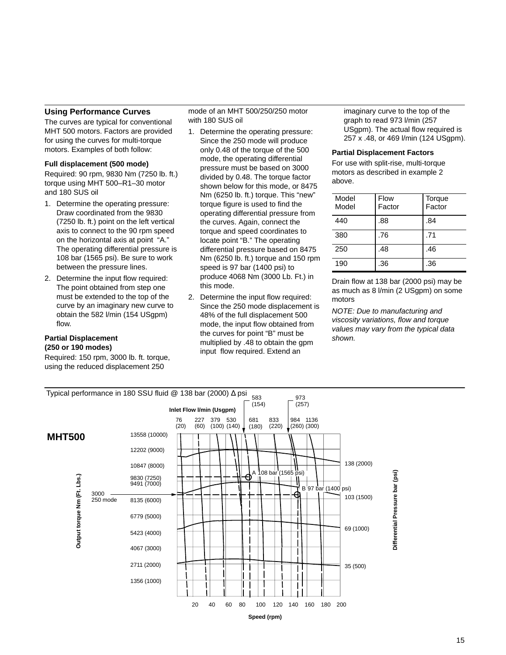#### <span id="page-17-0"></span>**Using Performance Curves**

The curves are typical for conventional MHT 500 motors. Factors are provided for using the curves for multi-torque motors. Examples of both follow:

#### **Full displacement (500 mode)**

Required: 90 rpm, 9830 Nm (7250 lb. ft.) torque using MHT 500–R1–30 motor and 180 SUS oil

- 1. Determine the operating pressure: Draw coordinated from the 9830 (7250 lb. ft.) point on the left vertical axis to connect to the 90 rpm speed on the horizontal axis at point "A." The operating differential pressure is 108 bar (1565 psi). Be sure to work between the pressure lines.
- 2. Determine the input flow required: The point obtained from step one must be extended to the top of the curve by an imaginary new curve to obtain the 582 l/min (154 USgpm) flow.

#### **Partial Displacement (250 or 190 modes)**

Required: 150 rpm, 3000 lb. ft. torque, using the reduced displacement 250

#### mode of an MHT 500/250/250 motor with 180 SUS oil

- 1. Determine the operating pressure: Since the 250 mode will produce only 0.48 of the torque of the 500 mode, the operating differential pressure must be based on 3000 divided by 0.48. The torque factor shown below for this mode, or 8475 Nm (6250 lb. ft.) torque. This "new" torque figure is used to find the operating differential pressure from the curves. Again, connect the torque and speed coordinates to locate point "B." The operating differential pressure based on 8475 Nm (6250 lb. ft.) torque and 150 rpm speed is 97 bar (1400 psi) to produce 4068 Nm (3000 Lb. Ft.) in this mode.
- 2. Determine the input flow required: Since the 250 mode displacement is 48% of the full displacement 500 mode, the input flow obtained from the curves for point "B" must be multiplied by .48 to obtain the gpm input flow required. Extend an

imaginary curve to the top of the graph to read 973 l/min (257 USgpm). The actual flow required is 257 x .48, or 469 l/min (124 USgpm).

#### **Partial Displacement Factors**

For use with split-rise, multi-torque motors as described in example 2 above.

| Model<br>Model | Flow<br>Factor | Torque<br>Factor |
|----------------|----------------|------------------|
| 440            | .88            | .84              |
| 380            | .76            | .71              |
| 250            | .48            | .46              |
| 190            | .36            | .36              |

Drain flow at 138 bar (2000 psi) may be as much as 8 l/min (2 USgpm) on some motors

NOTE: Due to manufacturing and viscosity variations, flow and torque values may vary from the typical data shown.

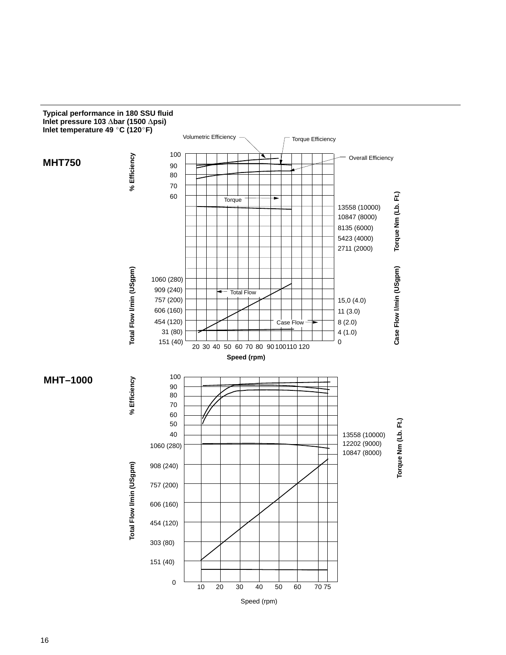

<span id="page-18-0"></span>**Typical performance in 180 SSU fluid**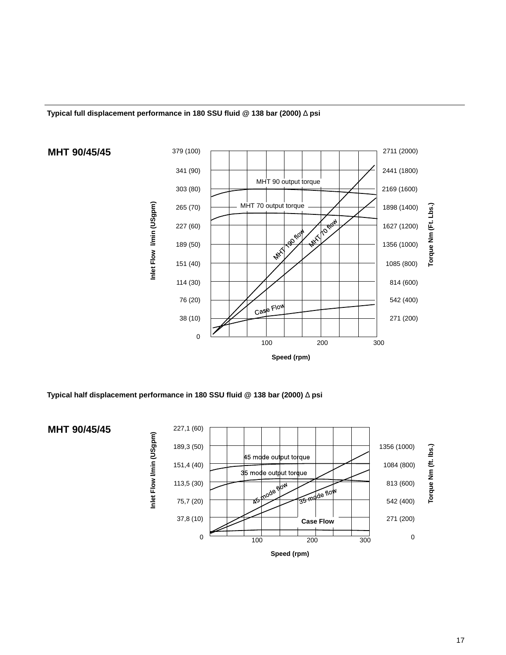<span id="page-19-0"></span>



**Typical half displacement performance in 180 SSU fluid @ 138 bar (2000)** ∆ **psi**

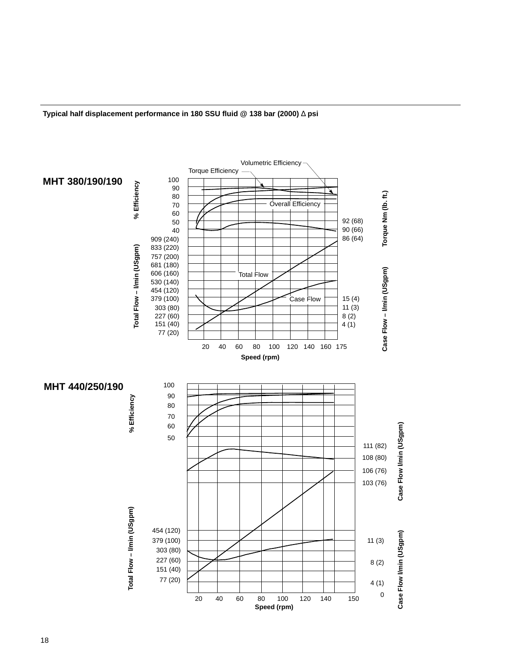

<span id="page-20-0"></span>**Typical half displacement performance in 180 SSU fluid @ 138 bar (2000)** ∆ **psi**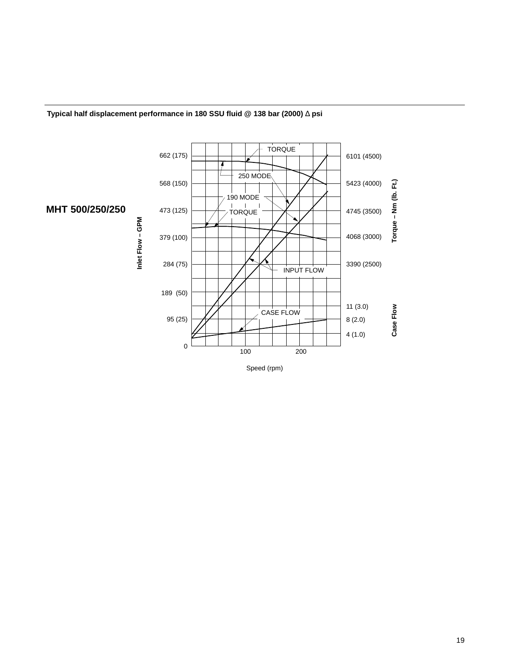

#### <span id="page-21-0"></span>**Typical half displacement performance in 180 SSU fluid @ 138 bar (2000)** ∆ **psi**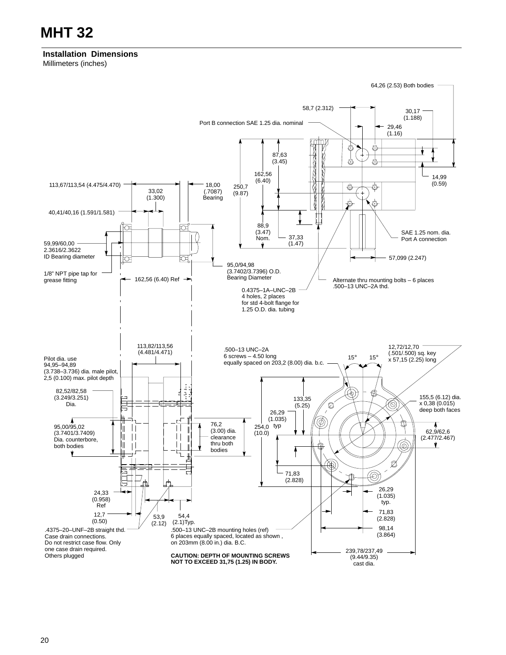<span id="page-22-0"></span>**Installation Dimensions** Millimeters (inches)

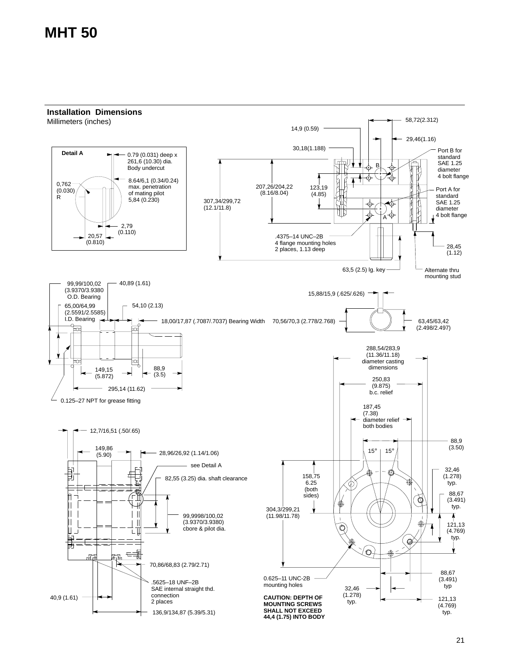### <span id="page-23-0"></span>**MHT 50**

**Installation Dimensions**

Millimeters (inches)

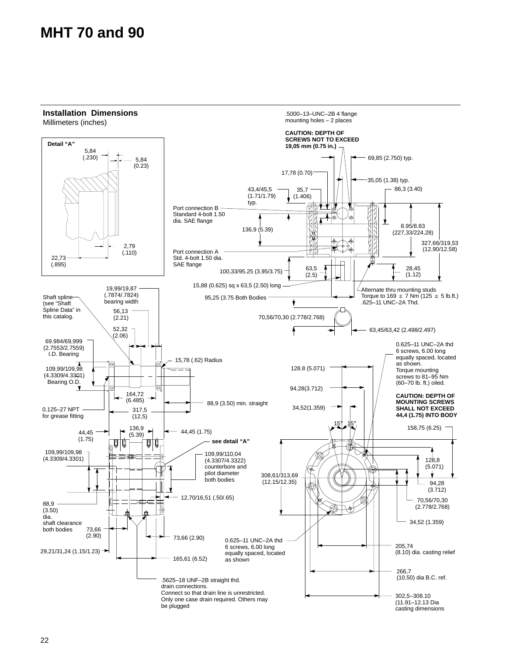## <span id="page-24-0"></span>**MHT 70 and 90**

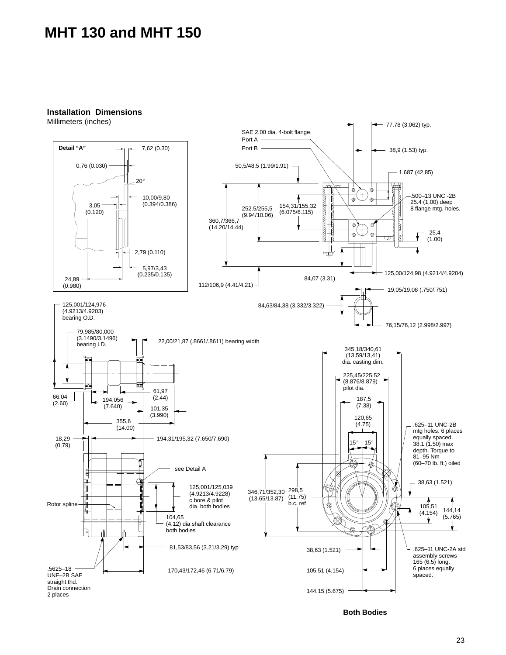### <span id="page-25-0"></span>**MHT 130 and MHT 150**

### **Installation Dimensions**

Millimeters (inches)

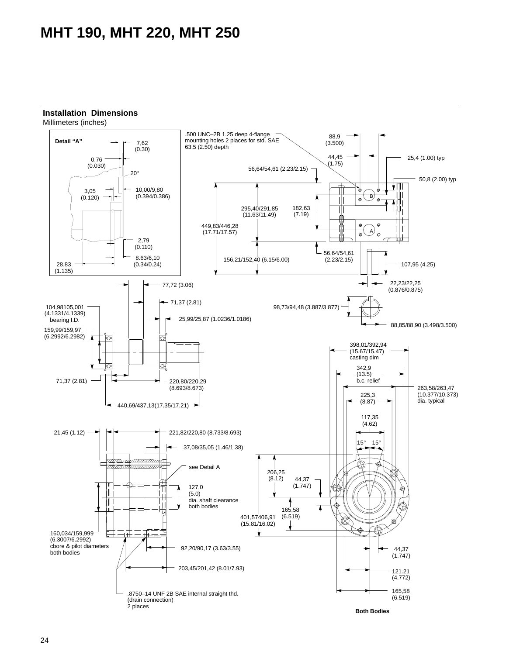## <span id="page-26-0"></span>**MHT 190, MHT 220, MHT 250**



Millimeters (inches)

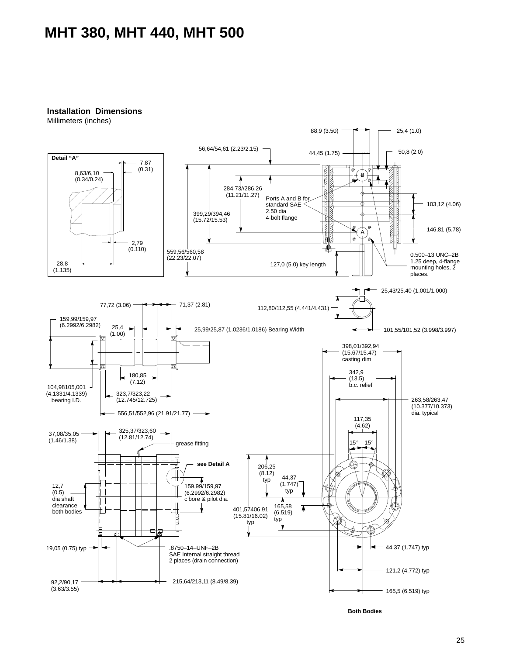### <span id="page-27-0"></span>**MHT 380, MHT 440, MHT 500**

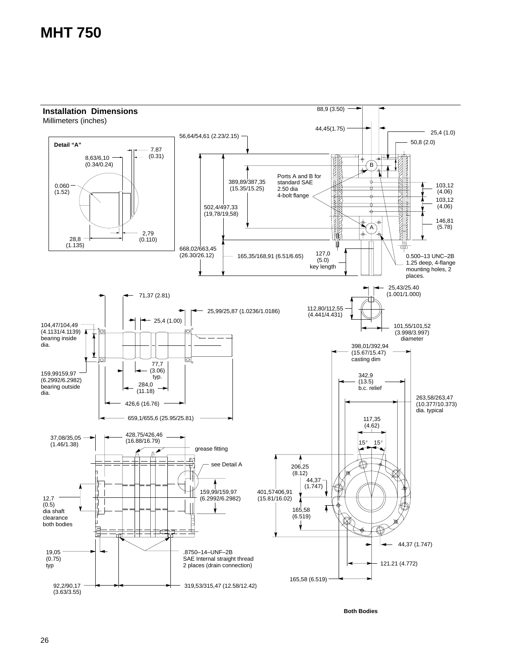## <span id="page-28-0"></span>**MHT 750**

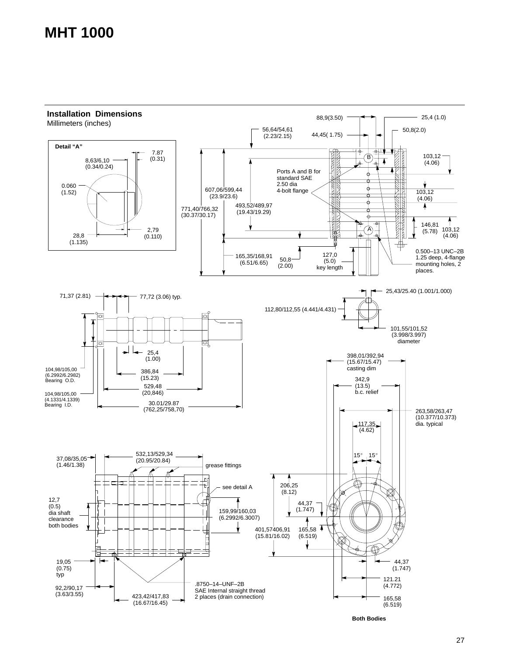## <span id="page-29-0"></span>**MHT 1000**

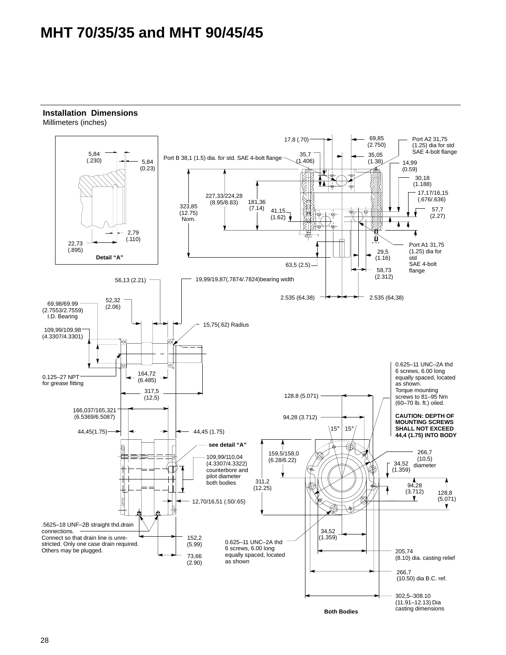## <span id="page-30-0"></span>**MHT 70/35/35 and MHT 90/45/45**



#### **Installation Dimensions** Millimeters (inches)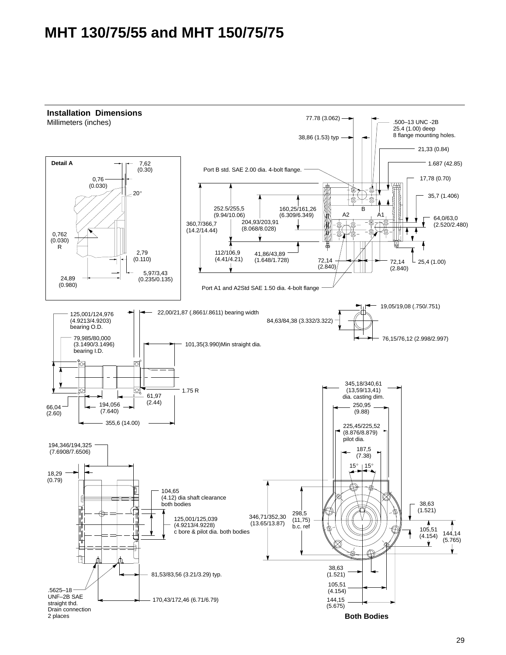## <span id="page-31-0"></span>**MHT 130/75/55 and MHT 150/75/75**



#### 29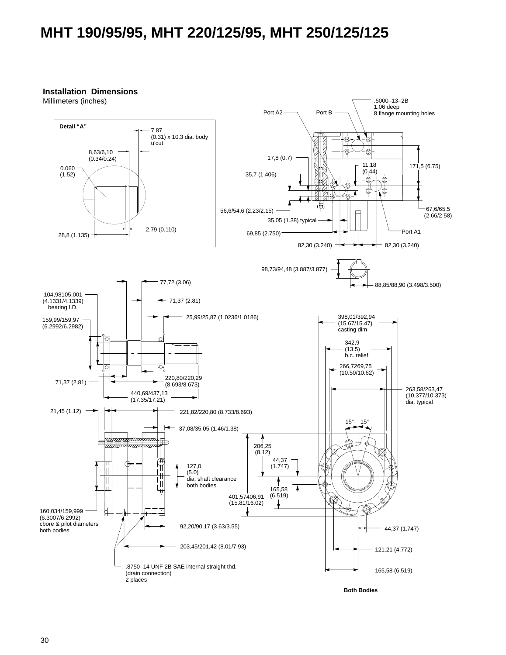## <span id="page-32-0"></span>**MHT 190/95/95, MHT 220/125/95, MHT 250/125/125**

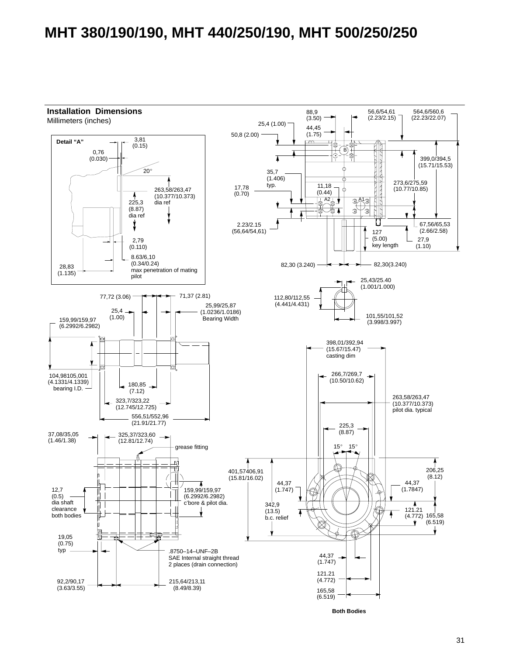### <span id="page-33-0"></span>**MHT 380/190/190, MHT 440/250/190, MHT 500/250/250**

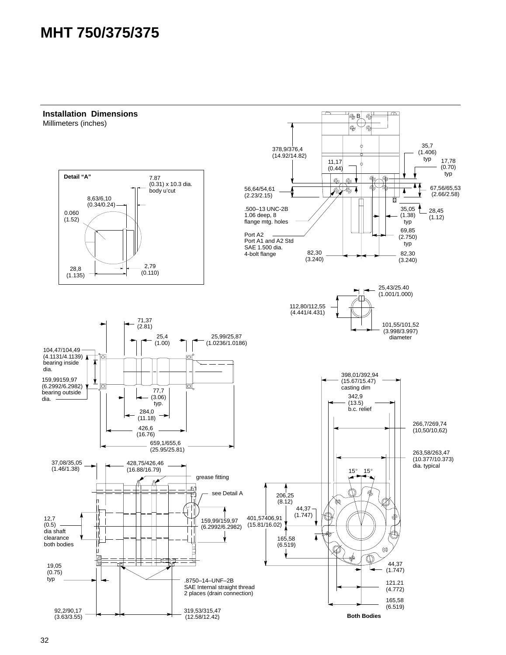## <span id="page-34-0"></span>**MHT 750/375/375**

**Installation Dimensions**  $\overline{\mathbb{C}}$ B  $\circledcirc$ Millimeters (inches) $\overline{\mathbb{Q}}$ 'a 35,7 378,9/376,4 (14.92/14.82)  $(1.406)$ <br>typ 17,78 11,17  $(0.44)$ (0.70) typ **Detail "A"** 7.87  $\overline{\Phi}$  $\overline{\Phi}$  $\overline{\mathbb{Q}}$  $\circ$ (0.31) x 10.3 dia. 67,56/65,53 56,64/54,61 DD ক body u'cut Δ (2.66/2.58) (2.23/2.15) 8,63/6,10 m  $(0.34/0.24)$ .500–13 UNC-2B 35,05 28,45 0.060 1.06 deep, 8 (1.38)  $(1.12)$ (1.52) flange mtg. holes typ 69,85 Port A2 (2.750) Port A1 and A2 Std SAE 1.500 dia. typ 82,30 82,30 4-bolt flange (3.240) (3.240) 2,79 28,8 (0.110) (1.135) 25,43/25.40 (1.001/1.000) 112,80/112,55 (4.441/4.431) 71,37 101,55/101,52 (2.81) (3.998/3.997) 25,99/25,87 25,4 diameter (1.00) (1.0236/1.0186) 104,47/104,49  $(4.1131/4.1139)$ ੱਕ bearing inside dia. 398,01/392,94 159,99159,97 ⊻ (15.67/15.47) (6.2992/6.2982) ₫ 뇨 casting dim 77,7 bearing outside 342,9 (3.06) dia. typ. (13.5) b.c. relief 284,0 (11.18) 266,7/269,74 426,6 (10,50/10,62) (16.76) 659,1/655,6 (25.95/25.81) 263,58/263,47 (10.377/10.373) 37,08/35,05 428,75/426,46 dia. typical (1.46/1.38) (16.88/16.79)  $15^\circ$  $15<sup>°</sup>$ grease fitting  $\uparrow$  $\overline{B}$ see Detail A 206,25 (8.12) 44,37 (1.747) 401,57406,91 12,7 159,99/159,97 (15.81/16.02)  $(0.5)$ (6.2992/6.2982) dia shaft clearance 165,58 both bodies (6.519) E  $\circledcirc$ -17 44,37 19,05 'nπ (1.747) (0.75) typ .8750–14–UNF–2B 121.21 SAE Internal straight thread (4.772) 2 places (drain connection) 165,58

319,53/315,47 (12.58/12.42)

(6.519)

**Both Bodies**

92,2/90,17 (3.63/3.55)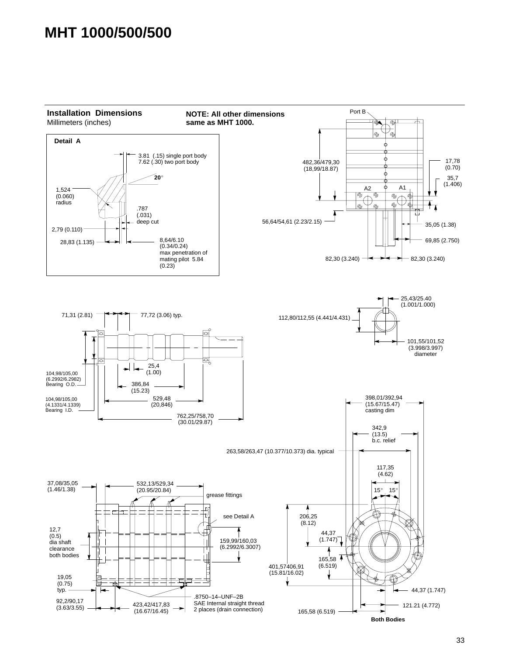## <span id="page-35-0"></span>**MHT 1000/500/500**